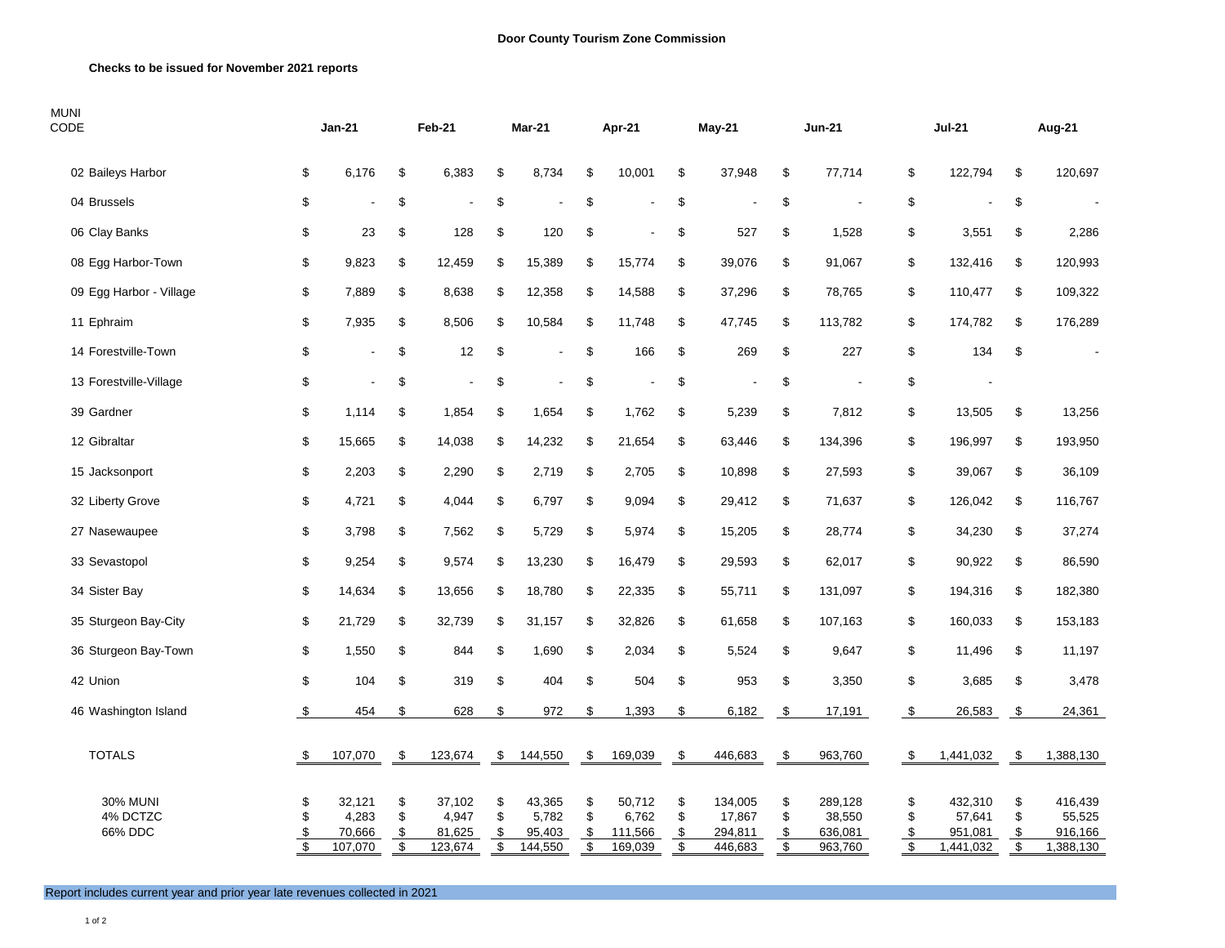## **Checks to be issued for November 2021 reports**

| <b>MUNI</b><br>CODE                    |                                                       | Jan-21                               |                                   | <b>Feb-21</b>                        |                                           | Mar-21                               |                      | Apr-21                                |                                           | <b>May-21</b>                           |                                           | <b>Jun-21</b>                           |                      | <b>Jul-21</b>                             |                      | Aug-21                                    |
|----------------------------------------|-------------------------------------------------------|--------------------------------------|-----------------------------------|--------------------------------------|-------------------------------------------|--------------------------------------|----------------------|---------------------------------------|-------------------------------------------|-----------------------------------------|-------------------------------------------|-----------------------------------------|----------------------|-------------------------------------------|----------------------|-------------------------------------------|
| 02 Baileys Harbor                      | \$                                                    | 6,176                                | \$                                | 6,383                                | \$                                        | 8,734                                | \$                   | 10,001                                | \$                                        | 37,948                                  | \$                                        | 77,714                                  | \$                   | 122,794                                   | \$                   | 120,697                                   |
| 04 Brussels                            | \$                                                    |                                      | \$                                |                                      | \$                                        |                                      | \$                   |                                       | \$                                        |                                         | \$                                        |                                         | \$                   |                                           | \$                   |                                           |
| 06 Clay Banks                          | \$                                                    | 23                                   | \$                                | 128                                  | \$                                        | 120                                  | \$                   |                                       | \$                                        | 527                                     | \$                                        | 1,528                                   |                      | \$<br>3,551                               | \$                   | 2,286                                     |
| 08 Egg Harbor-Town                     | \$                                                    | 9,823                                | \$                                | 12,459                               | \$                                        | 15,389                               | \$                   | 15,774                                | \$                                        | 39,076                                  | \$                                        | 91,067                                  |                      | \$<br>132,416                             | \$                   | 120,993                                   |
| 09 Egg Harbor - Village                | \$                                                    | 7,889                                | \$                                | 8,638                                | \$                                        | 12,358                               | \$                   | 14,588                                | \$                                        | 37,296                                  | \$                                        | 78,765                                  |                      | \$<br>110,477                             | \$                   | 109,322                                   |
| 11 Ephraim                             | \$                                                    | 7,935                                | \$                                | 8,506                                | \$                                        | 10,584                               | \$                   | 11,748                                | \$                                        | 47,745                                  | \$                                        | 113,782                                 |                      | \$<br>174,782                             | \$                   | 176,289                                   |
| 14 Forestville-Town                    | $\,$                                                  | $\overline{a}$                       | \$                                | 12                                   | \$                                        |                                      | \$                   | 166                                   | \$                                        | 269                                     | \$                                        | 227                                     |                      | \$<br>134                                 | \$                   |                                           |
| 13 Forestville-Village                 | \$                                                    | $\overline{a}$                       | \$                                |                                      | \$                                        |                                      | \$                   |                                       | \$                                        |                                         | \$                                        |                                         | \$                   |                                           |                      |                                           |
| 39 Gardner                             | \$                                                    | 1,114                                | \$                                | 1,854                                | \$                                        | 1,654                                | \$                   | 1,762                                 | \$                                        | 5,239                                   | \$                                        | 7,812                                   |                      | \$<br>13,505                              | \$                   | 13,256                                    |
| 12 Gibraltar                           | \$                                                    | 15,665                               | \$                                | 14,038                               | \$                                        | 14,232                               | \$                   | 21,654                                | \$                                        | 63,446                                  | \$                                        | 134,396                                 |                      | \$<br>196,997                             | \$                   | 193,950                                   |
| 15 Jacksonport                         | $\,$                                                  | 2,203                                | \$                                | 2,290                                | \$                                        | 2,719                                | \$                   | 2,705                                 | \$                                        | 10,898                                  | \$                                        | 27,593                                  |                      | \$<br>39,067                              | \$                   | 36,109                                    |
| 32 Liberty Grove                       | \$                                                    | 4,721                                | \$                                | 4,044                                | \$                                        | 6,797                                | \$                   | 9,094                                 | \$                                        | 29,412                                  | \$                                        | 71,637                                  |                      | \$<br>126,042                             | \$                   | 116,767                                   |
| 27 Nasewaupee                          | \$                                                    | 3,798                                | \$                                | 7,562                                | \$                                        | 5,729                                | \$                   | 5,974                                 | \$                                        | 15,205                                  | \$                                        | 28,774                                  |                      | \$<br>34,230                              | \$                   | 37,274                                    |
| 33 Sevastopol                          | \$                                                    | 9,254                                | \$                                | 9,574                                | \$                                        | 13,230                               | \$                   | 16,479                                | \$                                        | 29,593                                  | \$                                        | 62,017                                  |                      | \$<br>90,922                              | \$                   | 86,590                                    |
| 34 Sister Bay                          | \$                                                    | 14,634                               | \$                                | 13,656                               | \$                                        | 18,780                               | \$                   | 22,335                                | \$                                        | 55,711                                  | \$                                        | 131,097                                 |                      | \$<br>194,316                             | \$                   | 182,380                                   |
| 35 Sturgeon Bay-City                   | \$                                                    | 21,729                               | \$                                | 32,739                               | \$                                        | 31,157                               | \$                   | 32,826                                | \$                                        | 61,658                                  | \$                                        | 107,163                                 |                      | \$<br>160,033                             | \$                   | 153,183                                   |
| 36 Sturgeon Bay-Town                   | \$                                                    | 1,550                                | \$                                | 844                                  | \$                                        | 1,690                                | \$                   | 2,034                                 | \$                                        | 5,524                                   | \$                                        | 9,647                                   |                      | \$<br>11,496                              | \$                   | 11,197                                    |
| 42 Union                               | \$                                                    | 104                                  | \$                                | 319                                  | \$                                        | 404                                  | \$                   | 504                                   | \$                                        | 953                                     | \$                                        | 3,350                                   |                      | \$<br>3,685                               | \$                   | 3,478                                     |
| 46 Washington Island                   | \$                                                    | 454                                  | \$                                | 628                                  | \$                                        | 972                                  | \$                   | 1,393                                 | \$                                        | 6,182                                   | \$                                        | 17,191                                  | \$                   | 26,583                                    | \$                   | 24,361                                    |
| <b>TOTALS</b>                          | \$                                                    | 107,070                              | \$                                | 123,674                              | \$                                        | 144,550                              | -\$                  | 169,039                               | \$                                        | 446,683                                 | \$                                        | 963,760                                 | \$                   | 1,441,032                                 | \$                   | 1,388,130                                 |
| <b>30% MUNI</b><br>4% DCTZC<br>66% DDC | \$<br>\$<br>$\frac{1}{2}$<br>$\overline{\mathcal{S}}$ | 32,121<br>4,283<br>70,666<br>107,070 | \$<br>\$<br>\$<br>$\overline{\$}$ | 37,102<br>4,947<br>81,625<br>123,674 | \$<br>\$<br>\$<br>$\overline{\mathbf{e}}$ | 43,365<br>5,782<br>95,403<br>144,550 | \$<br>\$<br>\$<br>\$ | 50,712<br>6,762<br>111,566<br>169,039 | \$<br>\$<br>\$<br>$\overline{\mathbf{S}}$ | 134,005<br>17,867<br>294,811<br>446,683 | \$<br>\$<br>\$<br>$\overline{\mathbf{e}}$ | 289,128<br>38,550<br>636,081<br>963,760 | \$<br>\$<br>\$<br>\$ | 432,310<br>57,641<br>951,081<br>1,441,032 | \$<br>\$<br>\$<br>\$ | 416,439<br>55,525<br>916,166<br>1,388,130 |